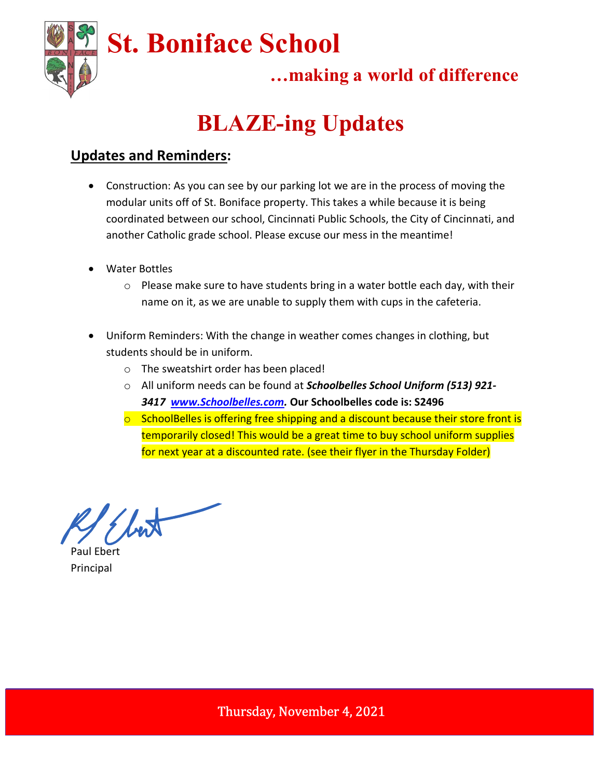

## …making a world of difference

# BLAZE-ing Updates

### Updates and Reminders:

- Construction: As you can see by our parking lot we are in the process of moving the modular units off of St. Boniface property. This takes a while because it is being coordinated between our school, Cincinnati Public Schools, the City of Cincinnati, and another Catholic grade school. Please excuse our mess in the meantime!
- Water Bottles
	- o Please make sure to have students bring in a water bottle each day, with their name on it, as we are unable to supply them with cups in the cafeteria.
- Uniform Reminders: With the change in weather comes changes in clothing, but students should be in uniform.
	- o The sweatshirt order has been placed!
	- $\circ$  All uniform needs can be found at *Schoolbelles School Uniform (513) 921*-3417 www.Schoolbelles.com. Our Schoolbelles code is: S2496
	- $\circ$  SchoolBelles is offering free shipping and a discount because their store front is temporarily closed! This would be a great time to buy school uniform supplies for next year at a discounted rate. (see their flyer in the Thursday Folder)

best

Paul Ebert Principal